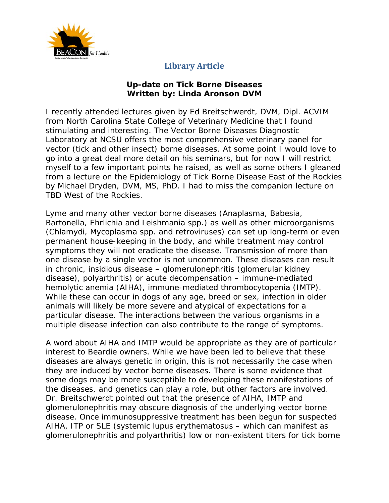

## **Library Article**

## **Up-date on Tick Borne Diseases Written by: Linda Aronson DVM**

I recently attended lectures given by Ed Breitschwerdt, DVM, Dipl. ACVIM from North Carolina State College of Veterinary Medicine that I found stimulating and interesting. The Vector Borne Diseases Diagnostic Laboratory at NCSU offers the most comprehensive veterinary panel for vector (tick and other insect) borne diseases. At some point I would love to go into a great deal more detail on his seminars, but for now I will restrict myself to a few important points he raised, as well as some others I gleaned from a lecture on the Epidemiology of Tick Borne Disease East of the Rockies by Michael Dryden, DVM, MS, PhD. I had to miss the companion lecture on TBD West of the Rockies.

Lyme and many other vector borne diseases (*Anaplasma, Babesia, Bartonella, Ehrlichia* and *Leishmania spp.*) as well as other microorganisms (*Chlamydi, Mycoplasma spp.* and retroviruses) can set up long-term or even permanent house-keeping in the body, and while treatment may control symptoms they will not eradicate the disease. Transmission of more than one disease by a single vector is not uncommon. These diseases can result in chronic, insidious disease – glomerulonephritis (glomerular kidney disease), polyarthritis) or acute decompensation – immune-mediated hemolytic anemia (AIHA), immune-mediated thrombocytopenia (IMTP). While these can occur in dogs of any age, breed or sex, infection in older animals will likely be more severe and atypical of expectations for a particular disease. The interactions between the various organisms in a multiple disease infection can also contribute to the range of symptoms.

A word about AIHA and IMTP would be appropriate as they are of particular interest to Beardie owners. While we have been led to believe that these diseases are always genetic in origin, this is not necessarily the case when they are induced by vector borne diseases. There is some evidence that some dogs may be more susceptible to developing these manifestations of the diseases, and genetics can play a role, but other factors are involved. Dr. Breitschwerdt pointed out that the presence of AIHA, IMTP and glomerulonephritis may obscure diagnosis of the underlying vector borne disease. Once immunosuppressive treatment has been begun for suspected AIHA, ITP or SLE (systemic lupus erythematosus – which can manifest as glomerulonephritis and polyarthritis) low or non-existent titers for tick borne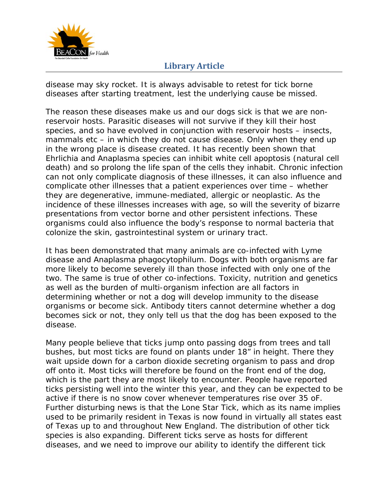

## **Library Article**

disease may sky rocket. It is always advisable to retest for tick borne diseases after starting treatment, lest the underlying cause be missed.

The reason these diseases make us and our dogs sick is that we are nonreservoir hosts. Parasitic diseases will not survive if they kill their host species, and so have evolved in conjunction with reservoir hosts – insects, mammals etc – in which they do not cause disease. Only when they end up in the wrong place is disease created. It has recently been shown that *Ehrlichia* and *Anaplasma* species can inhibit white cell apoptosis (natural cell death) and so prolong the life span of the cells they inhabit. Chronic infection can not only complicate diagnosis of these illnesses, it can also influence and complicate other illnesses that a patient experiences over time – whether they are degenerative, immune-mediated, allergic or neoplastic. As the incidence of these illnesses increases with age, so will the severity of bizarre presentations from vector borne and other persistent infections. These organisms could also influence the body's response to normal bacteria that colonize the skin, gastrointestinal system or urinary tract.

It has been demonstrated that many animals are co-infected with Lyme disease and *Anaplasma phagocytophilum*. Dogs with both organisms are far more likely to become severely ill than those infected with only one of the two. The same is true of other co-infections. Toxicity, nutrition and genetics as well as the burden of multi-organism infection are all factors in determining whether or not a dog will develop immunity to the disease organisms or become sick. Antibody titers cannot determine whether a dog becomes sick or not, they only tell us that the dog has been exposed to the disease.

Many people believe that ticks jump onto passing dogs from trees and tall bushes, but most ticks are found on plants under 18" in height. There they wait upside down for a carbon dioxide secreting organism to pass and drop off onto it. Most ticks will therefore be found on the front end of the dog, which is the part they are most likely to encounter. People have reported ticks persisting well into the winter this year, and they can be expected to be active if there is no snow cover whenever temperatures rise over 35 oF. Further disturbing news is that the Lone Star Tick, which as its name implies used to be primarily resident in Texas is now found in virtually all states east of Texas up to and throughout New England. The distribution of other tick species is also expanding. Different ticks serve as hosts for different diseases, and we need to improve our ability to identify the different tick